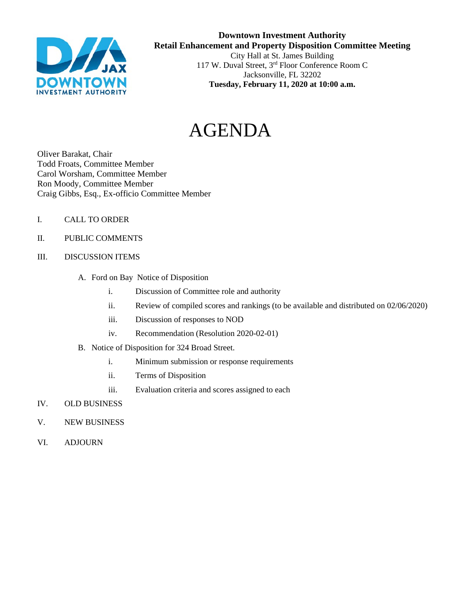

# **Downtown Investment Authority Retail Enhancement and Property Disposition Committee Meeting** City Hall at St. James Building 117 W. Duval Street, 3rd Floor Conference Room C Jacksonville, FL 32202 **Tuesday, February 11, 2020 at 10:00 a.m.**

# AGENDA

Oliver Barakat, Chair Todd Froats, Committee Member Carol Worsham, Committee Member Ron Moody, Committee Member Craig Gibbs, Esq., Ex-officio Committee Member

- I. CALL TO ORDER
- II. PUBLIC COMMENTS
- III. DISCUSSION ITEMS
	- A. Ford on Bay Notice of Disposition
		- i. Discussion of Committee role and authority
		- ii. Review of compiled scores and rankings (to be available and distributed on 02/06/2020)
		- iii. Discussion of responses to NOD
		- iv. Recommendation (Resolution 2020-02-01)
	- B. Notice of Disposition for 324 Broad Street.
		- i. Minimum submission or response requirements
		- ii. Terms of Disposition
		- iii. Evaluation criteria and scores assigned to each
- IV. OLD BUSINESS
- V. NEW BUSINESS
- VI. ADJOURN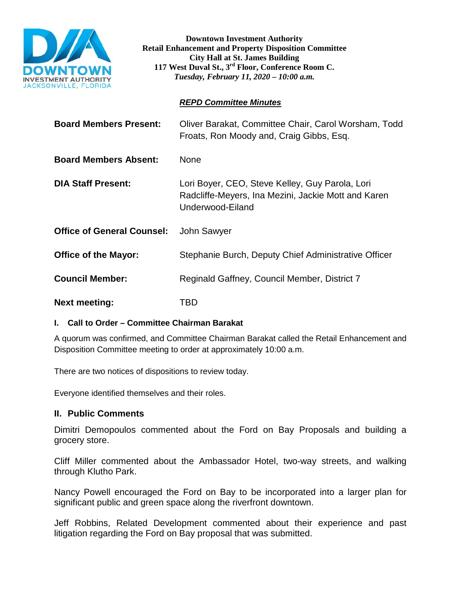

**Downtown Investment Authority Retail Enhancement and Property Disposition Committee City Hall at St. James Building 117 West Duval St., 3rd Floor, Conference Room C.**  *Tuesday, February 11, 2020 – 10:00 a.m.*

# *REPD Committee Minutes*

| <b>Board Members Present:</b>     | Oliver Barakat, Committee Chair, Carol Worsham, Todd<br>Froats, Ron Moody and, Craig Gibbs, Esq.                           |
|-----------------------------------|----------------------------------------------------------------------------------------------------------------------------|
| <b>Board Members Absent:</b>      | None                                                                                                                       |
| <b>DIA Staff Present:</b>         | Lori Boyer, CEO, Steve Kelley, Guy Parola, Lori<br>Radcliffe-Meyers, Ina Mezini, Jackie Mott and Karen<br>Underwood-Eiland |
| <b>Office of General Counsel:</b> | John Sawyer                                                                                                                |
| <b>Office of the Mayor:</b>       | Stephanie Burch, Deputy Chief Administrative Officer                                                                       |
| <b>Council Member:</b>            | Reginald Gaffney, Council Member, District 7                                                                               |
| <b>Next meeting:</b>              | TBD                                                                                                                        |

# **I. Call to Order – Committee Chairman Barakat**

A quorum was confirmed, and Committee Chairman Barakat called the Retail Enhancement and Disposition Committee meeting to order at approximately 10:00 a.m.

There are two notices of dispositions to review today.

Everyone identified themselves and their roles.

# **II. Public Comments**

Dimitri Demopoulos commented about the Ford on Bay Proposals and building a grocery store.

Cliff Miller commented about the Ambassador Hotel, two-way streets, and walking through Klutho Park.

Nancy Powell encouraged the Ford on Bay to be incorporated into a larger plan for significant public and green space along the riverfront downtown.

Jeff Robbins, Related Development commented about their experience and past litigation regarding the Ford on Bay proposal that was submitted.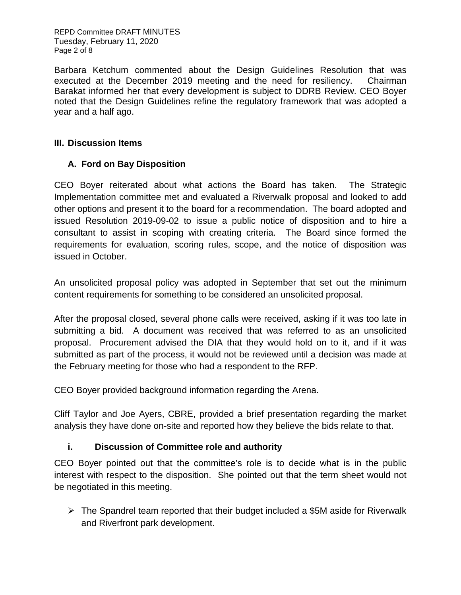REPD Committee DRAFT MINUTES Tuesday, February 11, 2020 Page 2 of 8

Barbara Ketchum commented about the Design Guidelines Resolution that was executed at the December 2019 meeting and the need for resiliency. Chairman Barakat informed her that every development is subject to DDRB Review. CEO Boyer noted that the Design Guidelines refine the regulatory framework that was adopted a year and a half ago.

# **III. Discussion Items**

# **A. Ford on Bay Disposition**

CEO Boyer reiterated about what actions the Board has taken. The Strategic Implementation committee met and evaluated a Riverwalk proposal and looked to add other options and present it to the board for a recommendation. The board adopted and issued Resolution 2019-09-02 to issue a public notice of disposition and to hire a consultant to assist in scoping with creating criteria. The Board since formed the requirements for evaluation, scoring rules, scope, and the notice of disposition was issued in October.

An unsolicited proposal policy was adopted in September that set out the minimum content requirements for something to be considered an unsolicited proposal.

After the proposal closed, several phone calls were received, asking if it was too late in submitting a bid. A document was received that was referred to as an unsolicited proposal. Procurement advised the DIA that they would hold on to it, and if it was submitted as part of the process, it would not be reviewed until a decision was made at the February meeting for those who had a respondent to the RFP.

CEO Boyer provided background information regarding the Arena.

Cliff Taylor and Joe Ayers, CBRE, provided a brief presentation regarding the market analysis they have done on-site and reported how they believe the bids relate to that.

# **i. Discussion of Committee role and authority**

CEO Boyer pointed out that the committee's role is to decide what is in the public interest with respect to the disposition. She pointed out that the term sheet would not be negotiated in this meeting.

 $\triangleright$  The Spandrel team reported that their budget included a \$5M aside for Riverwalk and Riverfront park development.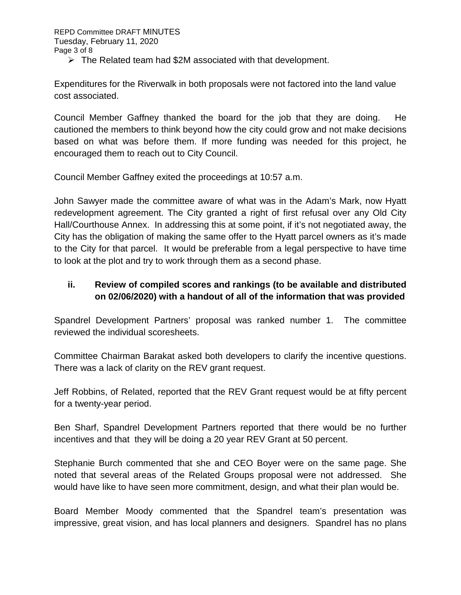$\triangleright$  The Related team had \$2M associated with that development.

Expenditures for the Riverwalk in both proposals were not factored into the land value cost associated.

Council Member Gaffney thanked the board for the job that they are doing. He cautioned the members to think beyond how the city could grow and not make decisions based on what was before them. If more funding was needed for this project, he encouraged them to reach out to City Council.

Council Member Gaffney exited the proceedings at 10:57 a.m.

John Sawyer made the committee aware of what was in the Adam's Mark, now Hyatt redevelopment agreement. The City granted a right of first refusal over any Old City Hall/Courthouse Annex. In addressing this at some point, if it's not negotiated away, the City has the obligation of making the same offer to the Hyatt parcel owners as it's made to the City for that parcel. It would be preferable from a legal perspective to have time to look at the plot and try to work through them as a second phase.

# **ii. Review of compiled scores and rankings (to be available and distributed on 02/06/2020) with a handout of all of the information that was provided**

Spandrel Development Partners' proposal was ranked number 1. The committee reviewed the individual scoresheets.

Committee Chairman Barakat asked both developers to clarify the incentive questions. There was a lack of clarity on the REV grant request.

Jeff Robbins, of Related, reported that the REV Grant request would be at fifty percent for a twenty-year period.

Ben Sharf, Spandrel Development Partners reported that there would be no further incentives and that they will be doing a 20 year REV Grant at 50 percent.

Stephanie Burch commented that she and CEO Boyer were on the same page. She noted that several areas of the Related Groups proposal were not addressed. She would have like to have seen more commitment, design, and what their plan would be.

Board Member Moody commented that the Spandrel team's presentation was impressive, great vision, and has local planners and designers. Spandrel has no plans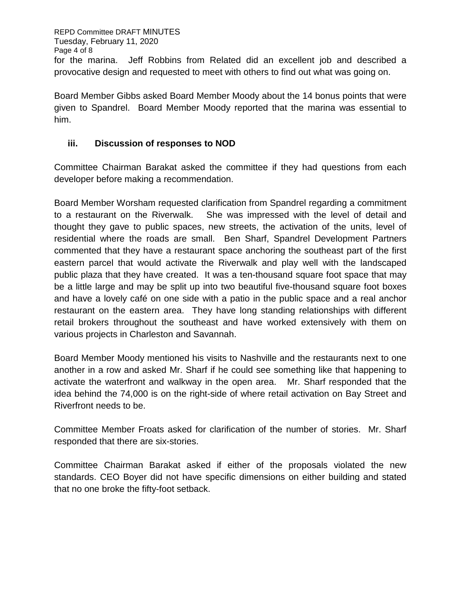REPD Committee DRAFT MINUTES Tuesday, February 11, 2020 Page 4 of 8 for the marina. Jeff Robbins from Related did an excellent job and described a provocative design and requested to meet with others to find out what was going on.

Board Member Gibbs asked Board Member Moody about the 14 bonus points that were given to Spandrel. Board Member Moody reported that the marina was essential to him.

# **iii. Discussion of responses to NOD**

Committee Chairman Barakat asked the committee if they had questions from each developer before making a recommendation.

Board Member Worsham requested clarification from Spandrel regarding a commitment to a restaurant on the Riverwalk. She was impressed with the level of detail and thought they gave to public spaces, new streets, the activation of the units, level of residential where the roads are small. Ben Sharf, Spandrel Development Partners commented that they have a restaurant space anchoring the southeast part of the first eastern parcel that would activate the Riverwalk and play well with the landscaped public plaza that they have created. It was a ten-thousand square foot space that may be a little large and may be split up into two beautiful five-thousand square foot boxes and have a lovely café on one side with a patio in the public space and a real anchor restaurant on the eastern area. They have long standing relationships with different retail brokers throughout the southeast and have worked extensively with them on various projects in Charleston and Savannah.

Board Member Moody mentioned his visits to Nashville and the restaurants next to one another in a row and asked Mr. Sharf if he could see something like that happening to activate the waterfront and walkway in the open area. Mr. Sharf responded that the idea behind the 74,000 is on the right-side of where retail activation on Bay Street and Riverfront needs to be.

Committee Member Froats asked for clarification of the number of stories. Mr. Sharf responded that there are six-stories.

Committee Chairman Barakat asked if either of the proposals violated the new standards. CEO Boyer did not have specific dimensions on either building and stated that no one broke the fifty-foot setback.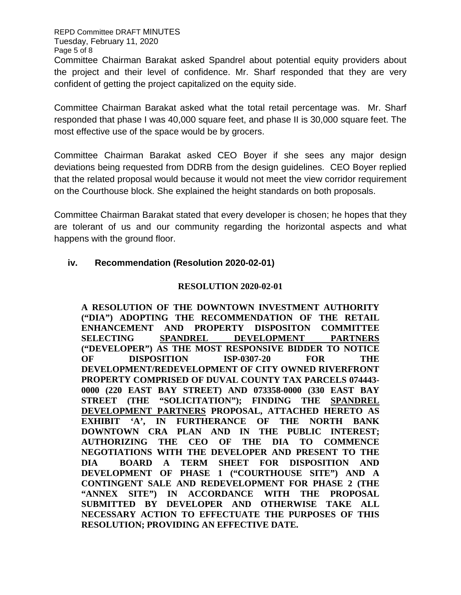REPD Committee DRAFT MINUTES Tuesday, February 11, 2020 Page 5 of 8

Committee Chairman Barakat asked Spandrel about potential equity providers about the project and their level of confidence. Mr. Sharf responded that they are very confident of getting the project capitalized on the equity side.

Committee Chairman Barakat asked what the total retail percentage was. Mr. Sharf responded that phase I was 40,000 square feet, and phase II is 30,000 square feet. The most effective use of the space would be by grocers.

Committee Chairman Barakat asked CEO Boyer if she sees any major design deviations being requested from DDRB from the design guidelines. CEO Boyer replied that the related proposal would because it would not meet the view corridor requirement on the Courthouse block. She explained the height standards on both proposals.

Committee Chairman Barakat stated that every developer is chosen; he hopes that they are tolerant of us and our community regarding the horizontal aspects and what happens with the ground floor.

# **iv. Recommendation (Resolution 2020-02-01)**

## **RESOLUTION 2020-02-01**

**A RESOLUTION OF THE DOWNTOWN INVESTMENT AUTHORITY ("DIA") ADOPTING THE RECOMMENDATION OF THE RETAIL ENHANCEMENT AND PROPERTY DISPOSITON COMMITTEE SELECTING SPANDREL DEVELOPMENT PARTNERS ("DEVELOPER") AS THE MOST RESPONSIVE BIDDER TO NOTICE OF DISPOSITION ISP-0307-20 FOR THE DEVELOPMENT/REDEVELOPMENT OF CITY OWNED RIVERFRONT PROPERTY COMPRISED OF DUVAL COUNTY TAX PARCELS 074443- 0000 (220 EAST BAY STREET) AND 073358-0000 (330 EAST BAY STREET (THE "SOLICITATION"); FINDING THE SPANDREL DEVELOPMENT PARTNERS PROPOSAL, ATTACHED HERETO AS EXHIBIT 'A', IN FURTHERANCE OF THE NORTH BANK DOWNTOWN CRA PLAN AND IN THE PUBLIC INTEREST; AUTHORIZING THE CEO OF THE DIA TO COMMENCE NEGOTIATIONS WITH THE DEVELOPER AND PRESENT TO THE DIA BOARD A TERM SHEET FOR DISPOSITION AND DEVELOPMENT OF PHASE 1 ("COURTHOUSE SITE") AND A CONTINGENT SALE AND REDEVELOPMENT FOR PHASE 2 (THE "ANNEX SITE") IN ACCORDANCE WITH THE PROPOSAL SUBMITTED BY DEVELOPER AND OTHERWISE TAKE ALL NECESSARY ACTION TO EFFECTUATE THE PURPOSES OF THIS RESOLUTION; PROVIDING AN EFFECTIVE DATE.**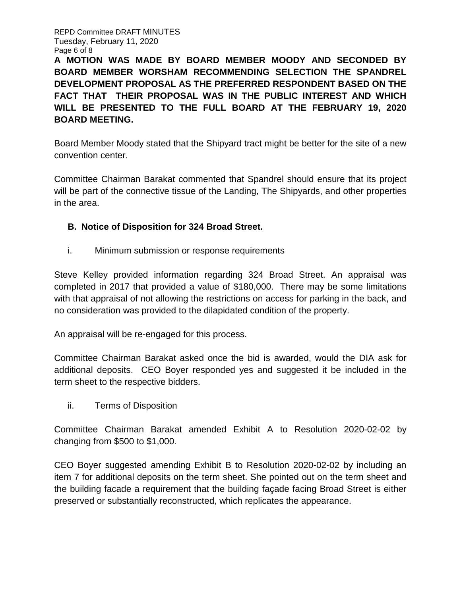REPD Committee DRAFT MINUTES Tuesday, February 11, 2020 Page 6 of 8

**A MOTION WAS MADE BY BOARD MEMBER MOODY AND SECONDED BY BOARD MEMBER WORSHAM RECOMMENDING SELECTION THE SPANDREL DEVELOPMENT PROPOSAL AS THE PREFERRED RESPONDENT BASED ON THE FACT THAT THEIR PROPOSAL WAS IN THE PUBLIC INTEREST AND WHICH WILL BE PRESENTED TO THE FULL BOARD AT THE FEBRUARY 19, 2020 BOARD MEETING.** 

Board Member Moody stated that the Shipyard tract might be better for the site of a new convention center.

Committee Chairman Barakat commented that Spandrel should ensure that its project will be part of the connective tissue of the Landing, The Shipyards, and other properties in the area.

# **B. Notice of Disposition for 324 Broad Street.**

i. Minimum submission or response requirements

Steve Kelley provided information regarding 324 Broad Street. An appraisal was completed in 2017 that provided a value of \$180,000. There may be some limitations with that appraisal of not allowing the restrictions on access for parking in the back, and no consideration was provided to the dilapidated condition of the property.

An appraisal will be re-engaged for this process.

Committee Chairman Barakat asked once the bid is awarded, would the DIA ask for additional deposits. CEO Boyer responded yes and suggested it be included in the term sheet to the respective bidders.

ii. Terms of Disposition

Committee Chairman Barakat amended Exhibit A to Resolution 2020-02-02 by changing from \$500 to \$1,000.

CEO Boyer suggested amending Exhibit B to Resolution 2020-02-02 by including an item 7 for additional deposits on the term sheet. She pointed out on the term sheet and the building facade a requirement that the building façade facing Broad Street is either preserved or substantially reconstructed, which replicates the appearance.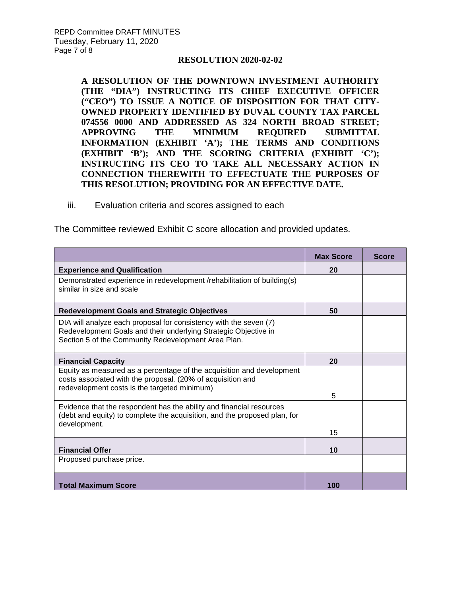### **RESOLUTION 2020-02-02**

**A RESOLUTION OF THE DOWNTOWN INVESTMENT AUTHORITY (THE "DIA") INSTRUCTING ITS CHIEF EXECUTIVE OFFICER ("CEO") TO ISSUE A NOTICE OF DISPOSITION FOR THAT CITY-OWNED PROPERTY IDENTIFIED BY DUVAL COUNTY TAX PARCEL [074556 0000](https://paopropertysearch.coj.net/Basic/Detail.aspx?RE=0745560000) AND ADDRESSED AS 324 NORTH BROAD STREET; APPROVING THE MINIMUM REQUIRED SUBMITTAL INFORMATION (EXHIBIT 'A'); THE TERMS AND CONDITIONS (EXHIBIT 'B'); AND THE SCORING CRITERIA (EXHIBIT 'C'); INSTRUCTING ITS CEO TO TAKE ALL NECESSARY ACTION IN CONNECTION THEREWITH TO EFFECTUATE THE PURPOSES OF THIS RESOLUTION; PROVIDING FOR AN EFFECTIVE DATE.** 

iii. Evaluation criteria and scores assigned to each

The Committee reviewed Exhibit C score allocation and provided updates.

|                                                                                                                                                                                             | <b>Max Score</b> | <b>Score</b> |
|---------------------------------------------------------------------------------------------------------------------------------------------------------------------------------------------|------------------|--------------|
| <b>Experience and Qualification</b>                                                                                                                                                         | 20               |              |
| Demonstrated experience in redevelopment /rehabilitation of building(s)<br>similar in size and scale                                                                                        |                  |              |
| <b>Redevelopment Goals and Strategic Objectives</b>                                                                                                                                         | 50               |              |
| DIA will analyze each proposal for consistency with the seven (7)<br>Redevelopment Goals and their underlying Strategic Objective in<br>Section 5 of the Community Redevelopment Area Plan. |                  |              |
| <b>Financial Capacity</b>                                                                                                                                                                   | 20               |              |
| Equity as measured as a percentage of the acquisition and development<br>costs associated with the proposal. (20% of acquisition and<br>redevelopment costs is the targeted minimum)        |                  |              |
|                                                                                                                                                                                             | 5                |              |
| Evidence that the respondent has the ability and financial resources<br>(debt and equity) to complete the acquisition, and the proposed plan, for<br>development.                           |                  |              |
|                                                                                                                                                                                             | 15               |              |
| <b>Financial Offer</b>                                                                                                                                                                      | 10               |              |
| Proposed purchase price.                                                                                                                                                                    |                  |              |
| <b>Total Maximum Score</b>                                                                                                                                                                  | 100              |              |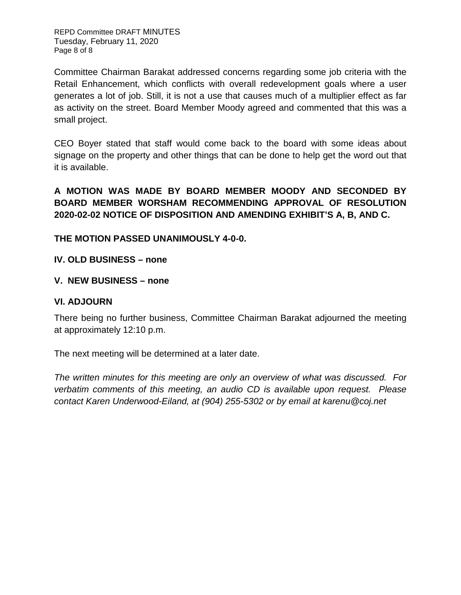Committee Chairman Barakat addressed concerns regarding some job criteria with the Retail Enhancement, which conflicts with overall redevelopment goals where a user generates a lot of job. Still, it is not a use that causes much of a multiplier effect as far as activity on the street. Board Member Moody agreed and commented that this was a small project.

CEO Boyer stated that staff would come back to the board with some ideas about signage on the property and other things that can be done to help get the word out that it is available.

**A MOTION WAS MADE BY BOARD MEMBER MOODY AND SECONDED BY BOARD MEMBER WORSHAM RECOMMENDING APPROVAL OF RESOLUTION 2020-02-02 NOTICE OF DISPOSITION AND AMENDING EXHIBIT'S A, B, AND C.**

# **THE MOTION PASSED UNANIMOUSLY 4-0-0.**

# **IV. OLD BUSINESS – none**

# **V. NEW BUSINESS – none**

# **VI. ADJOURN**

There being no further business, Committee Chairman Barakat adjourned the meeting at approximately 12:10 p.m.

The next meeting will be determined at a later date.

*The written minutes for this meeting are only an overview of what was discussed. For verbatim comments of this meeting, an audio CD is available upon request. Please contact Karen Underwood-Eiland, at (904) 255-5302 or by email at karenu@coj.net*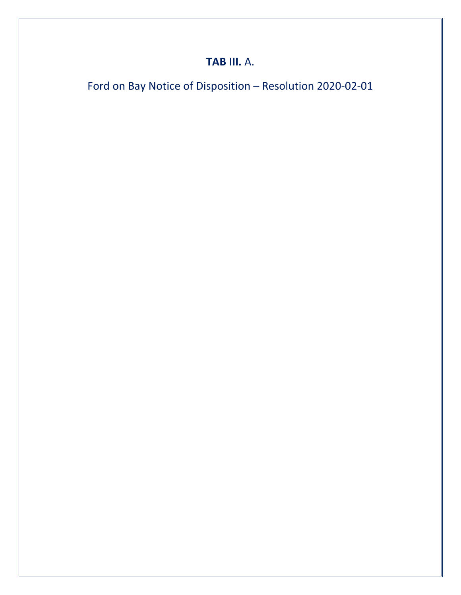# **TAB III.** A.

Ford on Bay Notice of Disposition – Resolution 2020-02-01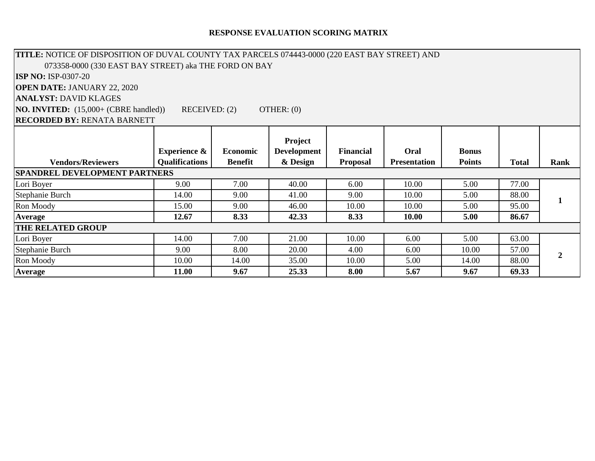## **RESPONSE EVALUATION SCORING MATRIX**

| TITLE: NOTICE OF DISPOSITION OF DUVAL COUNTY TAX PARCELS 074443-0000 (220 EAST BAY STREET) AND |                         |                |                    |                  |                     |               |              |                |
|------------------------------------------------------------------------------------------------|-------------------------|----------------|--------------------|------------------|---------------------|---------------|--------------|----------------|
| 073358-0000 (330 EAST BAY STREET) aka THE FORD ON BAY                                          |                         |                |                    |                  |                     |               |              |                |
| <b>ISP NO: ISP-0307-20</b>                                                                     |                         |                |                    |                  |                     |               |              |                |
| <b>OPEN DATE: JANUARY 22, 2020</b>                                                             |                         |                |                    |                  |                     |               |              |                |
| <b>ANALYST: DAVID KLAGES</b>                                                                   |                         |                |                    |                  |                     |               |              |                |
| <b>NO. INVITED:</b> (15,000+ (CBRE handled))                                                   | RECEIVED: (2)           |                | OTHER: $(0)$       |                  |                     |               |              |                |
| <b>RECORDED BY: RENATA BARNETT</b>                                                             |                         |                |                    |                  |                     |               |              |                |
|                                                                                                |                         |                | Project            |                  |                     |               |              |                |
|                                                                                                | <b>Experience &amp;</b> | Economic       | <b>Development</b> | <b>Financial</b> | Oral                | <b>Bonus</b>  |              |                |
| <b>Vendors/Reviewers</b>                                                                       | <b>Qualifications</b>   | <b>Benefit</b> | & Design           | <b>Proposal</b>  | <b>Presentation</b> | <b>Points</b> | <b>Total</b> | Rank           |
| <b>SPANDREL DEVELOPMENT PARTNERS</b>                                                           |                         |                |                    |                  |                     |               |              |                |
| Lori Boyer                                                                                     | 9.00                    | 7.00           | 40.00              | 6.00             | 10.00               | 5.00          | 77.00        |                |
| Stephanie Burch                                                                                | 14.00                   | 9.00           | 41.00              | 9.00             | 10.00               | 5.00          | 88.00        | 1              |
| Ron Moody                                                                                      | 15.00                   | 9.00           | 46.00              | 10.00            | 10.00               | 5.00          | 95.00        |                |
| Average                                                                                        | 12.67                   | 8.33           | 42.33              | 8.33             | 10.00               | 5.00          | 86.67        |                |
| <b>THE RELATED GROUP</b>                                                                       |                         |                |                    |                  |                     |               |              |                |
| Lori Boyer                                                                                     | 14.00                   | 7.00           | 21.00              | 10.00            | 6.00                | 5.00          | 63.00        |                |
| Stephanie Burch                                                                                | 9.00                    | 8.00           | 20.00              | 4.00             | 6.00                | 10.00         | 57.00        | $\overline{2}$ |
| Ron Moody                                                                                      | 10.00                   | 14.00          | 35.00              | 10.00            | 5.00                | 14.00         | 88.00        |                |
| Average                                                                                        | 11.00                   | 9.67           | 25.33              | 8.00             | 5.67                | 9.67          | 69.33        |                |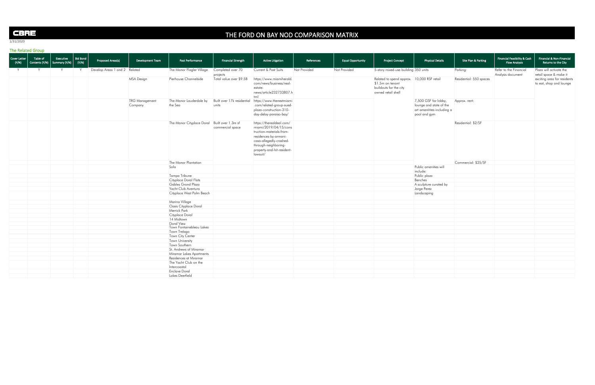| Cover Letter<br>(Y/N) | Table of<br>Contents $(Y/N)$ Summary $(Y/N)$ | Executive | $ $ Bid Bond $ $<br>(Y/N) | <b>Proposed Areas(s)</b>      | Development Team                 | Past Performance                             | Financial Strength                  | <b>Active Litigation</b>                                                                                                                                                                            | References   | <b>Equal Opportunity</b> | <b>Project Concept</b>                                                                                          | <b>Physical Details</b>                                                                       | Site Plan & Parking     | Financial Feasibility & Cash<br><b>Flow Analysis</b> |
|-----------------------|----------------------------------------------|-----------|---------------------------|-------------------------------|----------------------------------|----------------------------------------------|-------------------------------------|-----------------------------------------------------------------------------------------------------------------------------------------------------------------------------------------------------|--------------|--------------------------|-----------------------------------------------------------------------------------------------------------------|-----------------------------------------------------------------------------------------------|-------------------------|------------------------------------------------------|
|                       | $\lambda$                                    |           |                           | Develop Areas 1 and 2 Related |                                  | The Manor Flagler Village                    | Completed over 70<br>projects       | Current & Past Suits                                                                                                                                                                                | Not Provided | Not Provided             | 5-story mixed-use building 350 units                                                                            |                                                                                               | Parking:                | Refer to the Financial<br>Analysis document          |
|                       |                                              |           |                           |                               | <b>MSA Design</b>                | Pierhouse Channelside                        | Total value over \$9.5B             | https://www.miamiherald.<br>com/news/business/real-<br>estate-<br>news/article232733807.h<br>$\mathsf{m}$                                                                                           |              |                          | Related to spend approx. 10,000 RSF retail<br>$$1.5m$ on tenant<br>buildouts for the city<br>owned retail shell |                                                                                               | Residential: 550 spaces |                                                      |
|                       |                                              |           |                           |                               | <b>TRG Management</b><br>Company | The Manor Lauderdale by<br>the Sea           | Built over 17k residential<br>units | https://www.thenextmiami<br>.com/related-group-sued-<br>plaza-construction-310-<br>day-delay-paraiso-bay/                                                                                           |              |                          |                                                                                                                 | 7,500 GSF for lobby,<br>lounge and state of the<br>art amenitites including a<br>pool and gym | Approx. rent:           |                                                      |
|                       |                                              |           |                           |                               |                                  | The Manor Cityplace Doral Built over 1.3m sf | commercial space                    | https://therealdeal.com/<br>miami/2019/04/15/cons<br>truction-materials-from-<br>residences-by-armani-<br>casa-allegedly-crashed-<br>through-neighboring-<br>property-and-hit-resident-<br>lawsuit/ |              |                          |                                                                                                                 |                                                                                               | Residential: \$2/SF     |                                                      |
|                       |                                              |           |                           |                               |                                  | The Manor Plantation                         |                                     |                                                                                                                                                                                                     |              |                          |                                                                                                                 |                                                                                               | Commercial: \$25/SF     |                                                      |
|                       |                                              |           |                           |                               |                                  | Sofa                                         |                                     |                                                                                                                                                                                                     |              |                          |                                                                                                                 | Public amenities will<br>include:                                                             |                         |                                                      |
|                       |                                              |           |                           |                               |                                  | Tampa Tribune                                |                                     |                                                                                                                                                                                                     |              |                          |                                                                                                                 | Public plaza                                                                                  |                         |                                                      |
|                       |                                              |           |                           |                               |                                  | Cityplace Doral Flats                        |                                     |                                                                                                                                                                                                     |              |                          |                                                                                                                 | Benches                                                                                       |                         |                                                      |
|                       |                                              |           |                           |                               |                                  | <b>Gables Grand Plaza</b>                    |                                     |                                                                                                                                                                                                     |              |                          |                                                                                                                 | A sculpture curated by                                                                        |                         |                                                      |
|                       |                                              |           |                           |                               |                                  | Yacht Club Aventura                          |                                     |                                                                                                                                                                                                     |              |                          |                                                                                                                 | Jorge Perez                                                                                   |                         |                                                      |
|                       |                                              |           |                           |                               |                                  | Cityplace West Palm Beach                    |                                     |                                                                                                                                                                                                     |              |                          |                                                                                                                 | Landscaping                                                                                   |                         |                                                      |
|                       |                                              |           |                           |                               |                                  | Marina Village                               |                                     |                                                                                                                                                                                                     |              |                          |                                                                                                                 |                                                                                               |                         |                                                      |
|                       |                                              |           |                           |                               |                                  | Oasis Cityplace Doral                        |                                     |                                                                                                                                                                                                     |              |                          |                                                                                                                 |                                                                                               |                         |                                                      |
|                       |                                              |           |                           |                               |                                  | <b>Merrick Park</b>                          |                                     |                                                                                                                                                                                                     |              |                          |                                                                                                                 |                                                                                               |                         |                                                      |
|                       |                                              |           |                           |                               |                                  | Cityplace Doral                              |                                     |                                                                                                                                                                                                     |              |                          |                                                                                                                 |                                                                                               |                         |                                                      |
|                       |                                              |           |                           |                               |                                  | 14 Midtown                                   |                                     |                                                                                                                                                                                                     |              |                          |                                                                                                                 |                                                                                               |                         |                                                      |
|                       |                                              |           |                           |                               |                                  | Doral View                                   |                                     |                                                                                                                                                                                                     |              |                          |                                                                                                                 |                                                                                               |                         |                                                      |
|                       |                                              |           |                           |                               |                                  | Town Fontainebleau Lakes                     |                                     |                                                                                                                                                                                                     |              |                          |                                                                                                                 |                                                                                               |                         |                                                      |
|                       |                                              |           |                           |                               |                                  | Town Trelago                                 |                                     |                                                                                                                                                                                                     |              |                          |                                                                                                                 |                                                                                               |                         |                                                      |
|                       |                                              |           |                           |                               |                                  | Town City Center                             |                                     |                                                                                                                                                                                                     |              |                          |                                                                                                                 |                                                                                               |                         |                                                      |
|                       |                                              |           |                           |                               |                                  | Town University                              |                                     |                                                                                                                                                                                                     |              |                          |                                                                                                                 |                                                                                               |                         |                                                      |
|                       |                                              |           |                           |                               |                                  | Town Southern                                |                                     |                                                                                                                                                                                                     |              |                          |                                                                                                                 |                                                                                               |                         |                                                      |
|                       |                                              |           |                           |                               |                                  | St. Andrews of Miramar                       |                                     |                                                                                                                                                                                                     |              |                          |                                                                                                                 |                                                                                               |                         |                                                      |
|                       |                                              |           |                           |                               |                                  | Miramar Lakes Apartments                     |                                     |                                                                                                                                                                                                     |              |                          |                                                                                                                 |                                                                                               |                         |                                                      |
|                       |                                              |           |                           |                               |                                  | Residences at Miramar                        |                                     |                                                                                                                                                                                                     |              |                          |                                                                                                                 |                                                                                               |                         |                                                      |
|                       |                                              |           |                           |                               |                                  | The Yacht Club on the<br>Intercoastal        |                                     |                                                                                                                                                                                                     |              |                          |                                                                                                                 |                                                                                               |                         |                                                      |
|                       |                                              |           |                           |                               |                                  | <b>Enclave Doral</b>                         |                                     |                                                                                                                                                                                                     |              |                          |                                                                                                                 |                                                                                               |                         |                                                      |
|                       |                                              |           |                           |                               |                                  | Lakes Deerfield                              |                                     |                                                                                                                                                                                                     |              |                          |                                                                                                                 |                                                                                               |                         |                                                      |

| Site Plan & Parking     | Financial Feasibility & Cash<br><b>Flow Analysis</b> | Financial & Non-Financial<br>Returns to the City                                 |
|-------------------------|------------------------------------------------------|----------------------------------------------------------------------------------|
| Parking:                | Refer to the Financial                               | Plaza will activate the                                                          |
| Residential: 550 spaces | Analysis document                                    | retail space & make it<br>exciting area for residents<br>to eat, shop and lounge |
| Approx. rent:           |                                                      |                                                                                  |
| Residential: \$2/SF     |                                                      |                                                                                  |
| Commercial: \$25/SF     |                                                      |                                                                                  |
|                         |                                                      |                                                                                  |
|                         |                                                      |                                                                                  |
|                         |                                                      |                                                                                  |
|                         |                                                      |                                                                                  |
|                         |                                                      |                                                                                  |
|                         |                                                      |                                                                                  |
|                         |                                                      |                                                                                  |
|                         |                                                      |                                                                                  |
|                         |                                                      |                                                                                  |
|                         |                                                      |                                                                                  |
|                         |                                                      |                                                                                  |
|                         |                                                      |                                                                                  |
|                         |                                                      |                                                                                  |
|                         |                                                      |                                                                                  |
|                         |                                                      |                                                                                  |

# CBRE

1/31/2020

# THE FORD ON BAY NOD COMPARISON MATRIX

# The Related Group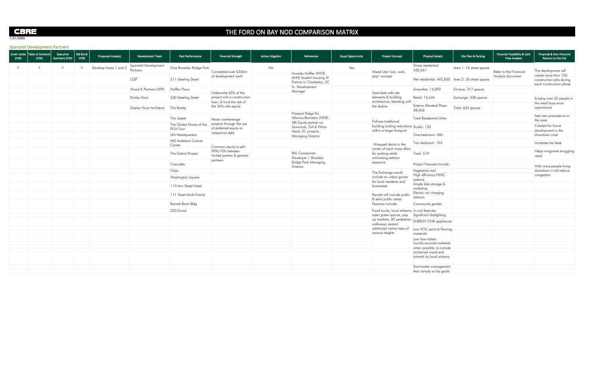# THE FORD ON BAY NOD COMPARISON MATRIX

| $\sim$ partial of $\sim$ of $\sim$ principal $\sim$ . The set of $\sim$<br>Cover Letter   Table of Contents  <br>(Y/N)<br>(Y/N) | Bid Bond<br>Executive<br>(Y/N)<br>Summary (Y/N) | Proposed Areas(s)     | Development Team                 | Past Performance                    | <b>Financial Strength</b>                               | <b>Active Litigation</b> | References                                           | <b>Equal Opportunity</b> | <b>Project Concept</b>                                                                      | <b>Physical Details</b>                   | Site Plan & Parking                               | Financial Feasibility & Cash<br><b>Flow Analysis</b> | Financial & Non-Financial<br>Returns to the City                            |
|---------------------------------------------------------------------------------------------------------------------------------|-------------------------------------------------|-----------------------|----------------------------------|-------------------------------------|---------------------------------------------------------|--------------------------|------------------------------------------------------|--------------------------|---------------------------------------------------------------------------------------------|-------------------------------------------|---------------------------------------------------|------------------------------------------------------|-----------------------------------------------------------------------------|
|                                                                                                                                 |                                                 | Develop Areas 1 and 2 | Spandrel Development<br>Partners | One Brooklyn Bridge Park            | Completed over \$300m                                   | No                       | Armada Hoffler (NYSE:                                | Yes                      | Mixed-Use "Live, work,                                                                      | Gross residential:<br>420,061             | Area 1: 14 street spaces                          | Refer to the Financial                               | The development will                                                        |
|                                                                                                                                 |                                                 |                       | LS3P                             | 511 Meeting Street                  | of development work                                     |                          | AHH) Student housing JV<br>Partner in Charleston, SC |                          | play" concept                                                                               |                                           | Net residential: 442,850 Area 2: 26 street spaces | Analysis document                                    | create more than 100<br>construction jobs during<br>each construction phase |
|                                                                                                                                 |                                                 |                       | Wood & Partners (WPI)            | Hoffler Place                       | Underwrite 65% of the                                   |                          | Sr. Development<br>Manager                           |                          | Assimilate with site                                                                        | Amenities: 14,892                         | Enclave: 317 spaces                               |                                                      |                                                                             |
|                                                                                                                                 |                                                 |                       | Kimley Horn                      | 530 Meeting Street                  | project with a construction<br>loan, & fund the rest of |                          |                                                      |                          | elements & building                                                                         | Retail: 74,544                            | Exchange: 338 spaces                              |                                                      | Employ over 50 people in                                                    |
|                                                                                                                                 |                                                 |                       | Dasher Hurst Architects          | The Baxley                          | the 35% with equity.                                    |                          | Prospect Ridge fka                                   |                          | architecture, blending with<br>the skyline                                                  | <b>Exterior Elevated Plaza:</b><br>38,656 | Total: 655 spaces                                 |                                                      | $\overline{\phantom{a}}$ the retail bays once<br>operational                |
|                                                                                                                                 |                                                 |                       |                                  | The Jasper                          | Never overleverage                                      |                          | Alliance Bernstein (NYSE:                            |                          | Follows traditional                                                                         | Total Residential Units:                  |                                                   |                                                      | Sets new precedence in<br>the area                                          |
|                                                                                                                                 |                                                 |                       |                                  | The Global Home of the<br>PGA Tour  | projects through the use<br>of preferred equity or      |                          | AB) Equity partner on<br>Savannah, GA & Hilton       |                          | $\vert$ building scaling reductions $\vert$ Studio: 130<br>within a larger footprint        |                                           |                                                   |                                                      | Catalyst for future<br>$\overline{\phantom{a}}$ development in the          |
|                                                                                                                                 |                                                 |                       |                                  | JEA Headquarters                    | mezzanine debt                                          |                          | Head, SC projects<br><b>Managing Director</b>        |                          |                                                                                             | One bedroom: 285                          |                                                   |                                                      | downtown cove                                                               |
|                                                                                                                                 |                                                 |                       |                                  | <b>MD Anderson Cancer</b><br>Center | Common equity is split                                  |                          |                                                      |                          | Wrapped decks in the                                                                        | Two bedroom: 104                          |                                                   |                                                      | Increases tax base                                                          |
|                                                                                                                                 |                                                 |                       |                                  | The District Project                | 90%/10% between<br>limited partner & general            |                          | <b>RAL Companies</b><br>Developer 1 Brooklyn         |                          | center of each mass allow<br>for parking while<br>minimizing exterior                       | Total: 519                                |                                                   |                                                      | Helps invigorate struggling<br>  retail                                     |
|                                                                                                                                 |                                                 |                       |                                  | Cascades                            | partners                                                |                          | <b>Bridge Park Managing</b><br>Director              |                          | exposure                                                                                    | Project Features Include:                 |                                                   |                                                      | With more people living                                                     |
|                                                                                                                                 |                                                 |                       |                                  | Onyx                                |                                                         |                          |                                                      |                          | The Exchange would                                                                          | Vegetative roof                           |                                                   |                                                      | downtown it will reduce                                                     |
|                                                                                                                                 |                                                 |                       |                                  | Washington Square                   |                                                         |                          |                                                      |                          | include an urban grocer                                                                     | High efficiency HVAC<br>systems           |                                                   |                                                      | congestion                                                                  |
|                                                                                                                                 |                                                 |                       |                                  | 110 Ann Street Hotel                |                                                         |                          |                                                      |                          | for local residents and<br>businesses                                                       | Ample bike storage &<br>workshop          |                                                   |                                                      |                                                                             |
|                                                                                                                                 |                                                 |                       |                                  | 111 Street Multi-Family             |                                                         |                          |                                                      |                          | Parcels will include public                                                                 | Electric car charging<br>stations         |                                                   |                                                      |                                                                             |
|                                                                                                                                 |                                                 |                       |                                  | Barnett Bank Bldg                   |                                                         |                          |                                                      |                          | & semi-public areas.<br>Features include:                                                   | Community garden                          |                                                   |                                                      |                                                                             |
|                                                                                                                                 |                                                 |                       |                                  | 233 Duval                           |                                                         |                          |                                                      |                          | Food trucks, local artisans, In-unit features:                                              |                                           |                                                   |                                                      |                                                                             |
|                                                                                                                                 |                                                 |                       |                                  |                                     |                                                         |                          |                                                      |                          | open green spaces, pop Significant daylighting                                              |                                           |                                                   |                                                      |                                                                             |
|                                                                                                                                 |                                                 |                       |                                  |                                     |                                                         |                          |                                                      |                          | $\frac{1}{2}$ up markets, 30' pedestrian ENERGY STAR appliances<br>$\Box$ walkways, several |                                           |                                                   |                                                      |                                                                             |
|                                                                                                                                 |                                                 |                       |                                  |                                     |                                                         |                          |                                                      |                          | $\Box$ additional native trees of $\Box$ Low VOC paint & flooring                           |                                           |                                                   |                                                      |                                                                             |
|                                                                                                                                 |                                                 |                       |                                  |                                     |                                                         |                          |                                                      |                          | various heights                                                                             | materials                                 |                                                   |                                                      |                                                                             |
|                                                                                                                                 |                                                 |                       |                                  |                                     |                                                         |                          |                                                      |                          |                                                                                             | Low flow toilets                          |                                                   |                                                      |                                                                             |
|                                                                                                                                 |                                                 |                       |                                  |                                     |                                                         |                          |                                                      |                          |                                                                                             | Locally-sourced materials                 |                                                   |                                                      |                                                                             |
|                                                                                                                                 |                                                 |                       |                                  |                                     |                                                         |                          |                                                      |                          |                                                                                             | when possible, to include                 |                                                   |                                                      |                                                                             |
|                                                                                                                                 |                                                 |                       |                                  |                                     |                                                         |                          |                                                      |                          |                                                                                             | reclaimed wood and                        |                                                   |                                                      |                                                                             |
|                                                                                                                                 |                                                 |                       |                                  |                                     |                                                         |                          |                                                      |                          |                                                                                             | artwork by local artisans.                |                                                   |                                                      |                                                                             |
|                                                                                                                                 |                                                 |                       |                                  |                                     |                                                         |                          |                                                      |                          |                                                                                             | Stormwater management                     |                                                   |                                                      |                                                                             |
|                                                                                                                                 |                                                 |                       |                                  |                                     |                                                         |                          |                                                      |                          |                                                                                             | that comply w/city goals                  |                                                   |                                                      |                                                                             |

# CBRE

1/31/2020

Spandrel Development Partners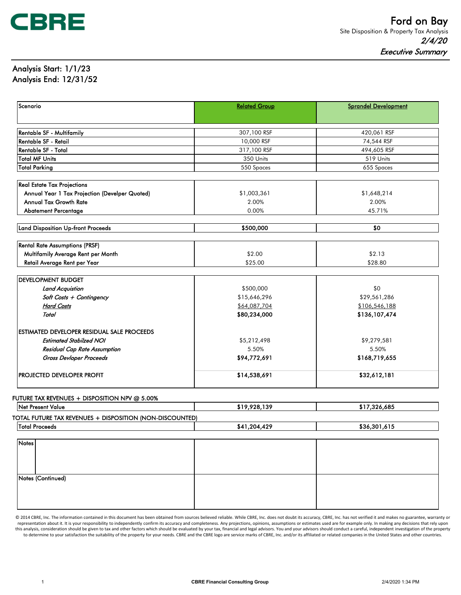

# Analysis Start: 1/1/23 Analysis End: 12/31/52

| Scenario                                          | <b>Related Group</b>         | <b>Sprandel Development</b>    |
|---------------------------------------------------|------------------------------|--------------------------------|
|                                                   |                              |                                |
| <b>Rentable SF - Multifamily</b>                  | 307,100 RSF                  | 420,061 RSF                    |
| Rentable SF - Retail                              | 10,000 RSF                   | 74,544 RSF                     |
| Rentable SF - Total                               | 317,100 RSF                  | 494,605 RSF                    |
| Total MF Units                                    | 350 Units                    | 519 Units                      |
| <b>Total Parking</b>                              | 550 Spaces                   | 655 Spaces                     |
| <b>Real Estate Tax Projections</b>                |                              |                                |
| Annual Year 1 Tax Projection (Develper Quoted)    | \$1,003,361                  | \$1,648,214                    |
| <b>Annual Tax Growth Rate</b>                     | 2.00%                        | 2.00%                          |
| <b>Abatement Percentage</b>                       | 0.00%                        | 45.71%                         |
|                                                   |                              |                                |
| Land Disposition Up-front Proceeds                | \$500,000                    | \$0                            |
| <b>Rental Rate Assumptions (PRSF)</b>             |                              |                                |
| Multifamily Average Rent per Month                | \$2.00                       | \$2.13                         |
| Retail Average Rent per Year                      | \$25.00                      | \$28.80                        |
|                                                   |                              |                                |
| <b>IDEVELOPMENT BUDGET</b>                        |                              |                                |
| <b>Land Acquistion</b>                            | \$500,000                    | \$0<br>\$29,561,286            |
| Soft Costs + Contingency<br><b>Hard Costs</b>     | \$15,646,296<br>\$64,087,704 |                                |
| Total                                             | \$80,234,000                 | \$106,546,188<br>\$136,107,474 |
|                                                   |                              |                                |
| <b>ESTIMATED DEVELOPER RESIDUAL SALE PROCEEDS</b> |                              |                                |
| <b>Estimated Stabilzed NOI</b>                    | \$5,212,498                  | \$9,279,581                    |
| Residual Cap Rate Assumption                      | 5.50%                        | 5.50%                          |
| Gross Devloper Proceeds                           | \$94,772,691                 | \$168,719,655                  |
| <b>IPROJECTED DEVELOPER PROFIT</b>                | \$14,538,691                 | \$32,612,181                   |

#### FUTURE TAX REVENUES + DISPOSITION NPV @ 5.00%

| <b>Net Present Value</b>                                 | \$19,928,139 | \$17,326,685 |
|----------------------------------------------------------|--------------|--------------|
| TOTAL FUTURE TAX REVENUES + DISPOSITION (NON-DISCOUNTED) |              |              |
| lTotal Proceeds                                          | \$41,204,429 | \$36,301,615 |

| Notes             |  |
|-------------------|--|
|                   |  |
|                   |  |
| Notes (Continued) |  |
|                   |  |
|                   |  |
|                   |  |

© 2014 CBRE, Inc. The information contained in this document has been obtained from sources believed reliable. While CBRE, Inc. does not doubt its accuracy, CBRE, Inc. has not verified it and makes no guarantee, warranty or representation about it. It is your responsibility to independently confirm its accuracy and completeness. Any projections, opinions, assumptions or estimates used are for example only. In making any decisions that rely up this analysis, consideration should be given to tax and other factors which should be evaluated by your tax, financial and legal advisors. You and your advisors should conduct a careful, independent investigation of the pr to determine to your satisfaction the suitability of the property for your needs. CBRE and the CBRE logo are service marks of CBRE, Inc. and/or its affiliated or related companies in the United States and other countries.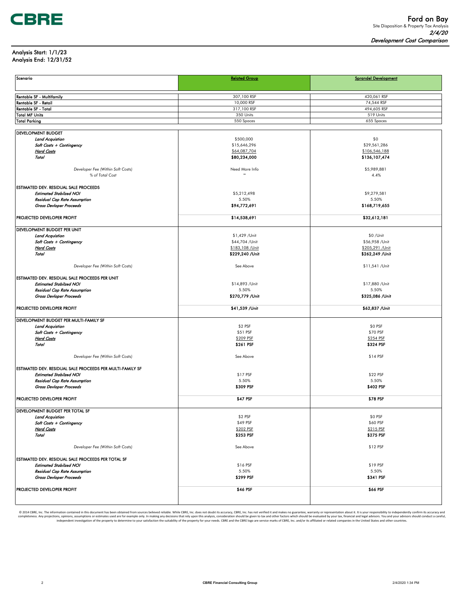#### Analysis Start: 1/1/23 Analysis End: 12/31/52

| Scenario                                                  | <b>Related Group</b>   | <b>Sprandel Development</b> |
|-----------------------------------------------------------|------------------------|-----------------------------|
|                                                           |                        |                             |
|                                                           |                        |                             |
| Rentable SF - Multifamily                                 | 307,100 RSF            | 420,061 RSF                 |
| Rentable SF - Retail                                      | 10,000 RSF             | 74,544 RSF                  |
| Rentable SF - Total                                       | 317,100 RSF            | 494,605 RSF                 |
| <b>Total MF Units</b>                                     | 350 Units              | 519 Units                   |
| <b>Total Parking</b>                                      | 550 Spaces             | 655 Spaces                  |
| <b>DEVELOPMENT BUDGET</b>                                 |                        |                             |
| <b>Land Acquistion</b>                                    | \$500,000              | \$0                         |
| Soft Costs + Contingency                                  | \$15,646,296           | \$29,561,286                |
| <b>Hard Costs</b>                                         | \$64,087,704           | \$106,546,188               |
| Total                                                     | \$80,234,000           | \$136,107,474               |
|                                                           |                        |                             |
| Developer Fee (Within Soft Costs)                         | Need More Info         | \$5,989,881                 |
| % of Total Cost                                           |                        | 4.4%                        |
| ESTIMATED DEV. RESIDUAL SALE PROCEEDS                     |                        |                             |
| <b>Estimated Stabilzed NOI</b>                            | \$5,212,498            | \$9,279,581                 |
| Residual Cap Rate Assumption                              | 5.50%                  | 5.50%                       |
| Gross Devloper Proceeds                                   | \$94,772,691           | \$168,719,655               |
|                                                           |                        |                             |
| PROJECTED DEVELOPER PROFIT                                | \$14,538,691           | \$32,612,181                |
|                                                           |                        |                             |
| DEVELOPMENT BUDGET PER UNIT                               |                        |                             |
| <b>Land Acquistion</b>                                    | \$1,429 /Unit          | \$0 /Unit                   |
| Soft Costs + Contingency                                  | \$44,704 /Unit         | \$56,958 /Unit              |
| <b>Hard Costs</b>                                         | \$183,108 / Unit       | \$205,291 /Unit             |
| Total                                                     | \$229,240 /Unit        | \$262,249 /Unit             |
| Developer Fee (Within Soft Costs)                         | See Above              | \$11,541 /Unit              |
|                                                           |                        |                             |
| ESTIMATED DEV. RESIDUAL SALE PROCEEDS PER UNIT            |                        |                             |
| <b>Estimated Stabilzed NOI</b>                            | \$14,893 /Unit         | \$17,880 /Unit              |
| Residual Cap Rate Assumption                              | 5.50%                  | 5.50%                       |
| Gross Devloper Proceeds                                   | \$270,779 /Unit        | \$325,086 /Unit             |
|                                                           |                        |                             |
| PROJECTED DEVELOPER PROFIT                                | \$41,539 /Unit         | \$62,837 /Unit              |
| DEVELOPMENT BUDGET PER MULTI-FAMILY SF                    |                        |                             |
| <b>Land Acquistion</b>                                    | \$2 PSF                | \$0 PSF                     |
| Soft Costs + Contingency                                  | \$51 PSF               | \$70 PSF                    |
| <b>Hard Costs</b>                                         | \$209 PSF              | \$254 PSF                   |
| Total                                                     | \$261 PSF              | \$324 PSF                   |
|                                                           |                        |                             |
| Developer Fee (Within Soft Costs)                         | See Above              | \$14 PSF                    |
|                                                           |                        |                             |
| ESTIMATED DEV. RESIDUAL SALE PROCEEDS PER MULTI-FAMILY SF |                        |                             |
| <b>Estimated Stabilzed NOI</b>                            | \$17 PSF<br>5.50%      | \$22 PSF<br>5.50%           |
| Residual Cap Rate Assumption<br>Gross Devloper Proceeds   | \$309 PSF              | \$402 PSF                   |
|                                                           |                        |                             |
| PROJECTED DEVELOPER PROFIT                                | \$47 PSF               | \$78 PSF                    |
|                                                           |                        |                             |
| DEVELOPMENT BUDGET PER TOTAL SF                           |                        |                             |
| <b>Land Acquistion</b>                                    | \$2 PSF                | \$0 PSF                     |
| Soft Costs + Contingency                                  | \$49 PSF               | \$60 PSF                    |
| <b>Hard Costs</b><br>Total                                | \$202 PSF<br>\$253 PSF | \$215 PSF<br>\$275 PSF      |
|                                                           |                        |                             |
| Developer Fee (Within Soft Costs)                         | See Above              | \$12 PSF                    |
|                                                           |                        |                             |
| ESTIMATED DEV. RESIDUAL SALE PROCEEDS PER TOTAL SF        |                        |                             |
| <b>Estimated Stabilzed NOI</b>                            | \$16 PSF               | \$19 PSF                    |
| Residual Cap Rate Assumption                              | 5.50%                  | 5.50%                       |
| Gross Devloper Proceeds                                   | \$299 PSF              | \$341 PSF                   |
|                                                           |                        |                             |
| PROJECTED DEVELOPER PROFIT                                | \$46 PSF               | \$66 PSF                    |
|                                                           |                        |                             |
|                                                           |                        |                             |

© 2014 CBRE, Inc. The information contained in this document has been obtained from sources believed reliable. While CBRE, Inc. does not doubt its accuracy, CBRE, Inc. has not verified it and makes no guarantee, warranty o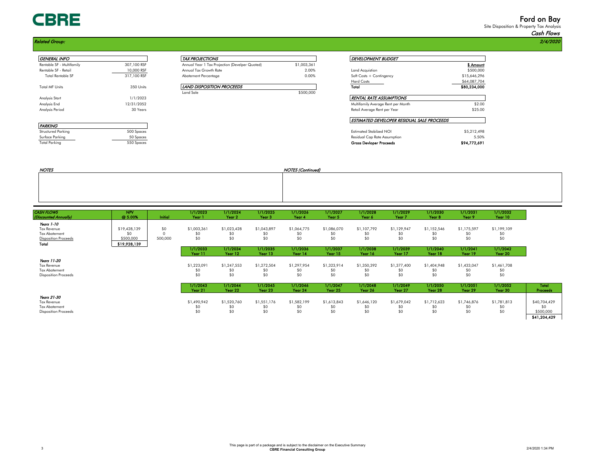# **CBRE**

#### Related Group: 2/4/2020

PARKING

| <b>GENERAL INFO</b>       |             | <i>TAX PROJECTIONS</i>                         |             | <i>DEVELOPMENT BUDGET</i>        |
|---------------------------|-------------|------------------------------------------------|-------------|----------------------------------|
| Rentable SF - Multifamily | 307,100 RSF | Annual Year 1 Tax Projection (Develper Quoted) | \$1,003,361 |                                  |
| Rentable SF - Retail      | 10,000 RSF  | Annual Tax Growth Rate                         | 2.00%       | Land Acquistion                  |
| <b>Total Rentable SF</b>  | 317,100 RSF | Abatement Percentage                           | 0.00%       | Soft Costs + Contingency         |
|                           |             |                                                |             | <b>Hard Costs</b>                |
| <b>Total MF Units</b>     | 350 Units   | LAND DISPOSITION PROCEEDS                      |             | Total                            |
|                           |             | Land Sale                                      | \$500,000   |                                  |
| Analysis Start            | 1/1/2023    |                                                |             | RENTAL RATE ASSUMPTIONS          |
| Analysis End              | 12/31/2052  |                                                |             | Multifamily Average Rent per Mor |
| Analysis Period           | 30 Years    |                                                |             | Retail Average Rent per Year     |

| GENERAL INFO              |             | <i>TAX PROJECTIONS</i>                         |             | <b>DEVELOPMENT BUDGET</b> |              |
|---------------------------|-------------|------------------------------------------------|-------------|---------------------------|--------------|
| Rentable SF - Multifamily | 307,100 RSF | Annual Year 1 Tax Projection (Develper Quoted) | \$1,003,361 |                           | \$ Amount    |
| Rentable SF - Retail      | 10,000 RSF  | Annual Tax Growth Rate                         | 2.00%       | Land Acauistion           | \$500,000    |
| <b>Total Rentable SF</b>  | 317,100 RSF | Abatement Percentage                           | 0.00%       | Soft Costs + Contingency  | \$15,646,296 |
|                           |             |                                                |             | <b>Hard Costs</b>         | \$64,087,704 |
| Total MF Units            | 350 Units   | LAND DISPOSITION PROCEEDS                      |             | Total                     | \$80,234,000 |
|                           |             | <b>Land Sale</b>                               | \$500,000   |                           |              |

| <b>GENERAL INFO</b>       |             | <b>TAX PROJECTIONS</b>                         |             | <i>DEVELOPMENT BUDGET</i>                         |              |  |  |
|---------------------------|-------------|------------------------------------------------|-------------|---------------------------------------------------|--------------|--|--|
| Rentable SF - Multifamily | 307,100 RSF | Annual Year 1 Tax Projection (Develper Quoted) | \$1,003,361 |                                                   | \$ Amount    |  |  |
| Rentable SF - Retail      | 10,000 RSF  | Annual Tax Growth Rate                         | 2.00%       | Land Acquistion                                   | \$500,000    |  |  |
| <b>Total Rentable SF</b>  | 317,100 RSF | Abatement Percentage                           | 0.00%       | Soft Costs + Contingency                          | \$15,646,296 |  |  |
|                           |             |                                                |             | <b>Hard Costs</b>                                 | \$64,087,704 |  |  |
| Total MF Units            | 350 Units   | LAND DISPOSITION PROCEEDS                      |             | Total                                             | \$80,234,000 |  |  |
|                           |             | Land Sale                                      | \$500,000   |                                                   |              |  |  |
| Analysis Start            | 1/1/2023    |                                                |             | RENTAL RATE ASSUMPTIONS                           |              |  |  |
| Analysis End              | 12/31/2052  |                                                |             | Multifamily Average Rent per Month                | \$2.00       |  |  |
| Analysis Period           | 30 Years    |                                                |             | Retail Average Rent per Year                      | \$25.00      |  |  |
|                           |             |                                                |             | <b>ESTIMATED DEVELOPER RESIDUAL SALE PROCEEDS</b> |              |  |  |
| PARKING                   |             |                                                |             |                                                   |              |  |  |
| Structured Parking        | 500 Spaces  |                                                |             | <b>Estimated Stabilzed NOI</b>                    | \$5,212,498  |  |  |
| Surface Parking           | 50 Spaces   |                                                |             | Residual Cap Rate Assumption                      | 5.50%        |  |  |
| Total Parkina             | 550 Spaces  |                                                |             | <b>Gross Devioper Proceeds</b>                    | \$94,772,691 |  |  |

| <b>NOTES</b> | NOTES (Continued) |
|--------------|-------------------|
|              |                   |
|              |                   |
|              |                   |
|              |                   |

| <b>CASH FLOWS</b><br>(Discounted Annually)                                        | <b>NPV</b><br>@ 5.00%            | Initial        | 1/1/2023<br>Year 1        | 1/1/2024<br>Year 2        | 1/1/2025<br>Year <sub>3</sub> | 1/1/2026<br>Year 4        | 1/1/2027<br>Year 5        | 1/1/2028<br>Year 6        | 1/1/2029<br>Year 7        | 1/1/2030<br>Year <sub>8</sub> | 1/1/2031<br>Year 9        | 1/1/2032<br>Year 10       |                                                 |
|-----------------------------------------------------------------------------------|----------------------------------|----------------|---------------------------|---------------------------|-------------------------------|---------------------------|---------------------------|---------------------------|---------------------------|-------------------------------|---------------------------|---------------------------|-------------------------------------------------|
| Years 1-10<br><b>Tax Revenue</b><br>Tax Abatement<br><b>Disposition Proceeds</b>  | \$19,428,139<br>\$0<br>\$500,000 | \$0<br>500,000 | \$1,003,361<br>\$0<br>\$0 | \$1,023,428<br>\$C<br>\$0 | \$1,043,897<br>\$0<br>\$0     | \$1,064,775<br>\$0<br>\$0 | \$1,086,070<br>\$0<br>\$0 | \$1,107,792<br>SC<br>\$0  | \$1,129,947<br>\$0<br>\$0 | \$1,152,546<br>\$0<br>\$0     | \$1,175,597<br>SO.<br>\$0 | \$1,199,109<br>\$0<br>\$0 |                                                 |
| Total                                                                             | \$19,928,139                     |                | 1/1/2033<br>Year 11       | 1/1/2034<br>Year 12       | 1/1/2035<br>Year 13           | 1/1/2036<br>Year 14       | 1/1/2037<br>Year 15       | 1/1/2038<br>Year 16       | 1/1/2039<br>Year 17       | 1/1/2040<br>Year 18           | 1/1/2041<br>Year 19       | 1/1/2042<br>Year 20       |                                                 |
| Years 11-20<br><b>Tax Revenue</b><br>Tax Abatement<br><b>Disposition Proceeds</b> |                                  |                | \$1,223,091<br>\$0<br>\$0 | \$1,247,553<br>\$C<br>\$0 | \$1,272,504<br>\$0<br>\$0     | \$1,297,954<br>\$0<br>\$0 | \$1,323,914<br>\$0<br>\$0 | \$1,350,392<br>SC<br>\$0  | \$1,377,400<br>\$0<br>\$0 | \$1,404,948<br>\$0<br>\$0     | \$1,433,047<br>\$0<br>\$0 | \$1,461,708<br>\$0<br>\$0 |                                                 |
|                                                                                   |                                  |                | 1/1/2043<br>Year 21       | 1/1/2044<br>Year 22       | 1/1/2045<br>Year 23           | 1/1/2046<br>Year 24       | 1/1/2047<br>Year 25       | 1/1/2048<br>Year 26       | 1/1/2049<br>Year 27       | 1/1/2050<br>Year 28           | 1/1/2051<br>Year 29       | 1/1/2052<br>Year 30       | Total<br><b>Proceeds</b>                        |
| Years 21-30<br><b>Tax Revenue</b><br>Tax Abatement<br><b>Disposition Proceeds</b> |                                  |                | \$1,490,942<br>\$0<br>\$0 | \$1,520,760<br>\$C<br>\$0 | \$1,551,176<br>\$0<br>\$0     | \$1,582,199<br>\$0<br>\$0 | \$1,613,843<br>\$0<br>\$0 | \$1,646,120<br>\$0<br>\$0 | \$1,679,042<br>\$0<br>\$0 | \$1,712,623<br>\$0<br>\$0     | \$1,746,876<br>\$0<br>\$0 | \$1,781,813<br>\$0<br>\$0 | \$40,704,429<br>S۵<br>\$500,000<br>\$41,204,429 |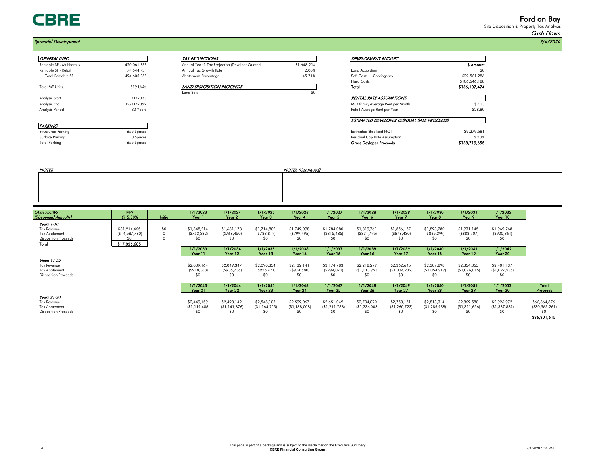# **CBRE**

# Ford on Bay

Site Disposition & Property Tax Analysis Cash Flows

| <b>GENERAL INFO</b>       |             | <b>TAX PROJECTIONS</b>                         |             | <b>DEVELOPMENT BUDGET</b>        |
|---------------------------|-------------|------------------------------------------------|-------------|----------------------------------|
| Rentable SF - Multifamily | 420.061 RSF | Annual Year 1 Tax Projection (Develper Quoted) | \$1,648,214 |                                  |
| Rentable SF - Retail      | 74,544 RSF  | Annual Tax Growth Rate                         | 2.00%       | Land Acquistion                  |
| <b>Total Rentable SF</b>  | 494,605 RSF | Abatement Percentage                           | 45.71%      | Soft Costs + Contingency         |
|                           |             |                                                |             | <b>Hard Costs</b>                |
| <b>Total MF Units</b>     | 519 Units   | LAND DISPOSITION PROCEEDS                      |             | Total                            |
|                           |             | Land Sale                                      | \$0         |                                  |
| Analysis Start            | 1/1/2023    |                                                |             | RENTAL RATE ASSUMPTIONS          |
| Analysis End              | 12/31/2052  |                                                |             | Multifamily Average Rent per Mor |
| Analysis Period           | 30 Years    |                                                |             | Retail Average Rent per Year     |

| GENERAL INFO              |             | <i>TAX PROJECTIONS</i>                         |             | <b>DEVELOPMENT BUDGET</b> |               |  |  |
|---------------------------|-------------|------------------------------------------------|-------------|---------------------------|---------------|--|--|
| Rentable SF - Multifamily | 420.061 RSF | Annual Year 1 Tax Projection (Develper Quoted) | \$1,648.214 |                           | \$ Amouni     |  |  |
| Rentable SF - Retail      | 74.544 RSF  | Annual Tax Growth Rate                         | 2.00%       | Land Acauistion           | \$0           |  |  |
| <b>Total Rentable SF</b>  | 494,605 RSF | Abatement Percentage                           | 45.71%      | Soft Costs + Contingency  | \$29,561,286  |  |  |
|                           |             |                                                |             | <b>Hard Costs</b>         | \$106,546,188 |  |  |

| Abatement Percentage             | 4.5.71% |
|----------------------------------|---------|
| <b>LAND DISPOSITION PROCEEDS</b> |         |
| Land Sale                        |         |

| <b>GENERAL INFO</b>       |             | <b>TAX PROJECTIONS</b>                         |             | <b>DEVELOPMENT BUDGET</b>                  |               |  |
|---------------------------|-------------|------------------------------------------------|-------------|--------------------------------------------|---------------|--|
| Rentable SF - Multifamily | 420.061 RSF | Annual Year 1 Tax Projection (Develper Quoted) | \$1,648,214 |                                            | \$ Amount     |  |
| Rentable SF - Retail      | 74,544 RSF  | Annual Tax Growth Rate                         | 2.00%       | Land Acquistion                            | \$0           |  |
| <b>Total Rentable SF</b>  | 494,605 RSF | Abatement Percentage                           | 45.71%      | Soft Costs + Contingency                   | \$29,561,286  |  |
|                           |             |                                                |             | <b>Hard Costs</b>                          | \$106,546,188 |  |
| Total MF Units            | 519 Units   | LAND DISPOSITION PROCEEDS                      |             | Total                                      | \$136,107,474 |  |
|                           |             | Land Sale                                      | \$0         |                                            |               |  |
| Analysis Start            | 1/1/2023    |                                                |             | <b>RENTAL RATE ASSUMPTIONS</b>             |               |  |
| Analysis End              | 12/31/2052  |                                                |             | Multifamily Average Rent per Month         | \$2.13        |  |
| Analysis Period           | 30 Years    |                                                |             | Retail Average Rent per Year               | \$28.80       |  |
|                           |             |                                                |             | ESTIMATED DEVELOPER RESIDUAL SALE PROCEEDS |               |  |
| PARKING                   |             |                                                |             |                                            |               |  |
| Structured Parking        | 655 Spaces  |                                                |             | <b>Estimated Stabilzed NOI</b>             | \$9,279,581   |  |
| Surface Parkina           | 0.Spoces    |                                                |             | Residual Can Rate Assumption               | 5 50%         |  |

PARKING Surface Parking 0 Spaces Residual Cap Rate Assumption 5.50% Total Parking 655 Spaces Gross Devloper Proceeds \$168,719,655

| <b>NOTES</b> | <b>NOTES (Continued)</b> |
|--------------|--------------------------|
|              |                          |
|              |                          |
|              |                          |
|              |                          |

| <b>CASH FLOWS</b>           | <b>NPV</b>      |         | 1/1/2023       | 1/1/2024       | 1/1/2025          | 1/1/2026       | 1/1/2027       | 1/1/2028       | 1/1/2029       | 1/1/2030          | 1/1/2031       | 1/1/2032       |                   |
|-----------------------------|-----------------|---------|----------------|----------------|-------------------|----------------|----------------|----------------|----------------|-------------------|----------------|----------------|-------------------|
| (Discounted Annually)       | @ 5.00%         | Initial | Year 1         | Year 2         | Year <sub>3</sub> | Year 4         | Year 5         | Year 6         | Year 7         | Year <sub>8</sub> | Year 9         | Year 10        |                   |
| Years 1-10                  |                 |         |                |                |                   |                |                |                |                |                   |                |                |                   |
| <b>Tax Revenue</b>          | \$31,914,465    | \$0\$   | \$1,648,214    | \$1,681,178    | \$1,714,802       | \$1,749,098    | \$1,784,080    | \$1,819,761    | \$1,856,157    | \$1,893,280       | \$1,931,145    | \$1,969,768    |                   |
| <b>Tax Abatement</b>        | (S14, 587, 780) |         | (S753, 382)    | (S768, 450)    | (S783, 819)       | (S799, 495)    | (S815, 485)    | (S831,795)     | (S848, 430)    | ( \$865, 399]     | (S882,707)     | $($ \$900,361) |                   |
| <b>Disposition Proceeds</b> | \$0             |         | SO.            | \$0            | \$0               | SO.            | SO.            |                | \$0            | \$O               | \$0            | \$0            |                   |
| Total                       | \$17,326,685    |         |                |                |                   |                |                |                |                |                   |                |                |                   |
|                             |                 |         | 1/1/2033       | 1/1/2034       | 1/1/2035          | 1/1/2036       | 1/1/2037       | 1/1/2038       | 1/1/2039       | 1/1/2040          | 1/1/2041       | 1/1/2042       |                   |
|                             |                 |         | Year 11        | Year 12        | Year 13           | Year 14        | Year 15        | Year 16        | Year 17        | Year 18           | Year 19        | Year 20        |                   |
| Years 11-20                 |                 |         |                |                |                   |                |                |                |                |                   |                |                |                   |
| <b>Tax Revenue</b>          |                 |         | \$2,009,164    | \$2,049,347    | \$2,090,334       | \$2,132,141    | \$2,174,783    | \$2,218,279    | \$2,262,645    | \$2,307,898       | \$2,354,055    | \$2,401,137    |                   |
| <b>Tax Abatement</b>        |                 |         | (S918, 368)    | (S936, 736)    | (S955, 471)       | (S974, 580)    | $($ \$994,072) | (S1,013,953)   | (S1,034,232)   | (S1,054,917)      | (S1,076,015)   | (S1,097,535)   |                   |
| <b>Disposition Proceeds</b> |                 |         | SO.            | SO.            | \$0               | SO.            | \$0            |                | \$0            | \$0               | \$0            | \$0            |                   |
|                             |                 |         | 1/1/2043       | 1/1/2044       | 1/1/2045          | 1/1/2046       | 1/1/2047       | 1/1/2048       | 1/1/2049       | 1/1/2050          | 1/1/2051       | 1/1/2052       | Total             |
|                             |                 |         | Year 21        | Year 22        | Year 23           | Year 24        | Year 25        | Year 26        | Year 27        | Year 28           | Year 29        | Year 30        | <b>Proceeds</b>   |
| Years 21-30                 |                 |         |                |                |                   |                |                |                |                |                   |                |                |                   |
| Tax Revenue                 |                 |         | \$2,449,159    | \$2,498,142    | \$2,548,105       | \$2,599,067    | \$2,651,049    | \$2,704,070    | \$2,758,151    | \$2,813,314       | \$2,869,580    | \$2,926,972    | \$66,864,876      |
| Tax Abatement               |                 |         | (S1, 119, 486) | (S1, 141, 876) | (S1, 164, 713)    | (S1, 188, 008) | (S1, 211, 768) | (S1, 236, 003) | (S1, 260, 723) | (S1, 285, 938)    | (S1, 311, 656) | (S1, 337, 889) | ( \$30, 563, 261) |
| <b>Disposition Proceeds</b> |                 |         | SO.            | \$0            | \$0               | SO.            | \$0            |                | \$0            | \$0               | \$0            | \$0            | SO.               |
|                             |                 |         |                |                |                   |                |                |                |                |                   |                |                | \$36,301,615      |

# Sprandel Development: 2/4/2020 DEVELOPMENT BUDGET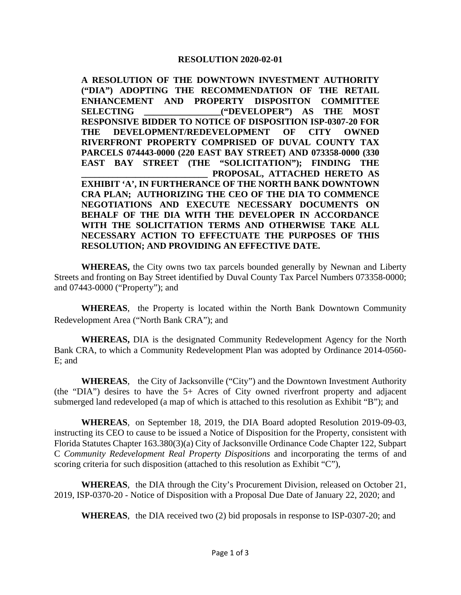## **RESOLUTION 2020-02-01**

**A RESOLUTION OF THE DOWNTOWN INVESTMENT AUTHORITY ("DIA") ADOPTING THE RECOMMENDATION OF THE RETAIL ENHANCEMENT AND PROPERTY DISPOSITON COMMITTEE SELECTING \_\_\_\_\_\_\_\_\_\_\_\_\_\_\_\_\_("DEVELOPER") AS THE MOST RESPONSIVE BIDDER TO NOTICE OF DISPOSITION ISP-0307-20 FOR THE DEVELOPMENT/REDEVELOPMENT OF CITY OWNED RIVERFRONT PROPERTY COMPRISED OF DUVAL COUNTY TAX PARCELS 074443-0000 (220 EAST BAY STREET) AND 073358-0000 (330 EAST BAY STREET (THE "SOLICITATION"); FINDING THE \_\_\_\_\_\_\_\_\_\_\_\_\_\_\_\_\_\_\_\_\_\_\_\_\_\_\_\_ PROPOSAL, ATTACHED HERETO AS EXHIBIT 'A', IN FURTHERANCE OF THE NORTH BANK DOWNTOWN CRA PLAN; AUTHORIZING THE CEO OF THE DIA TO COMMENCE NEGOTIATIONS AND EXECUTE NECESSARY DOCUMENTS ON BEHALF OF THE DIA WITH THE DEVELOPER IN ACCORDANCE WITH THE SOLICITATION TERMS AND OTHERWISE TAKE ALL NECESSARY ACTION TO EFFECTUATE THE PURPOSES OF THIS RESOLUTION; AND PROVIDING AN EFFECTIVE DATE.** 

**WHEREAS,** the City owns two tax parcels bounded generally by Newnan and Liberty Streets and fronting on Bay Street identified by Duval County Tax Parcel Numbers 073358-0000; and 07443-0000 ("Property"); and

**WHEREAS**, the Property is located within the North Bank Downtown Community Redevelopment Area ("North Bank CRA"); and

**WHEREAS,** DIA is the designated Community Redevelopment Agency for the North Bank CRA, to which a Community Redevelopment Plan was adopted by Ordinance 2014-0560- E; and

**WHEREAS**, the City of Jacksonville ("City") and the Downtown Investment Authority (the "DIA") desires to have the 5+ Acres of City owned riverfront property and adjacent submerged land redeveloped (a map of which is attached to this resolution as Exhibit "B"); and

**WHEREAS**, on September 18, 2019, the DIA Board adopted Resolution 2019-09-03, instructing its CEO to cause to be issued a Notice of Disposition for the Property, consistent with Florida Statutes Chapter 163.380(3)(a) City of Jacksonville Ordinance Code Chapter 122, Subpart C *Community Redevelopment Real Property Dispositions* and incorporating the terms of and scoring criteria for such disposition (attached to this resolution as Exhibit "C"),

**WHEREAS**, the DIA through the City's Procurement Division, released on October 21, 2019, ISP-0370-20 - Notice of Disposition with a Proposal Due Date of January 22, 2020; and

**WHEREAS**, the DIA received two (2) bid proposals in response to ISP-0307-20; and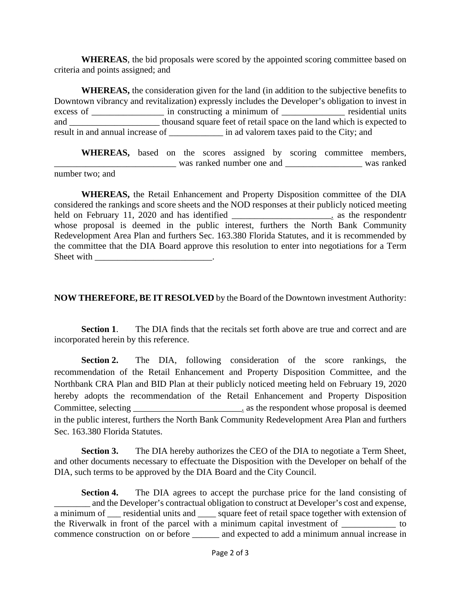**WHEREAS**, the bid proposals were scored by the appointed scoring committee based on criteria and points assigned; and

**WHEREAS,** the consideration given for the land (in addition to the subjective benefits to Downtown vibrancy and revitalization) expressly includes the Developer's obligation to invest in excess of \_\_\_\_\_\_\_\_\_\_\_\_\_\_\_\_\_\_ in constructing a minimum of \_\_\_\_\_\_\_\_\_\_\_\_\_\_\_\_ residential units and \_\_\_\_\_\_\_\_\_\_\_\_\_\_\_\_\_\_\_\_\_\_\_\_\_\_\_ thousand square feet of retail space on the land which is expected to result in and annual increase of \_\_\_\_\_\_\_\_\_\_\_\_ in ad valorem taxes paid to the City; and

WHEREAS, based on the scores assigned by scoring committee members, \_\_\_\_\_\_\_\_\_\_\_\_\_\_\_\_\_\_\_\_\_\_\_\_\_\_\_ was ranked number one and \_\_\_\_\_\_\_\_\_\_\_\_\_\_\_\_\_ was ranked number two; and

**WHEREAS,** the Retail Enhancement and Property Disposition committee of the DIA considered the rankings and score sheets and the NOD responses at their publicly noticed meeting held on February 11, 2020 and has identified \_\_\_\_\_\_\_\_\_\_\_\_\_\_\_\_\_\_\_\_\_\_. as the respondentr whose proposal is deemed in the public interest, furthers the North Bank Community Redevelopment Area Plan and furthers Sec. 163.380 Florida Statutes, and it is recommended by the committee that the DIA Board approve this resolution to enter into negotiations for a Term Sheet with  $\Box$ 

**NOW THEREFORE, BE IT RESOLVED** by the Board of the Downtown investment Authority:

**Section 1**. The DIA finds that the recitals set forth above are true and correct and are incorporated herein by this reference.

**Section 2.** The DIA, following consideration of the score rankings, the recommendation of the Retail Enhancement and Property Disposition Committee, and the Northbank CRA Plan and BID Plan at their publicly noticed meeting held on February 19, 2020 hereby adopts the recommendation of the Retail Enhancement and Property Disposition Committee, selecting \_\_\_\_\_\_\_\_\_\_\_\_\_\_\_\_\_\_\_\_\_\_\_\_. as the respondent whose proposal is deemed in the public interest, furthers the North Bank Community Redevelopment Area Plan and furthers Sec. 163.380 Florida Statutes.

**Section 3.** The DIA hereby authorizes the CEO of the DIA to negotiate a Term Sheet, and other documents necessary to effectuate the Disposition with the Developer on behalf of the DIA, such terms to be approved by the DIA Board and the City Council.

**Section 4.** The DIA agrees to accept the purchase price for the land consisting of and the Developer's contractual obligation to construct at Developer's cost and expense, a minimum of residential units and square feet of retail space together with extension of the Riverwalk in front of the parcel with a minimum capital investment of \_\_\_\_\_\_\_\_\_\_\_\_ to commence construction on or before \_\_\_\_\_\_ and expected to add a minimum annual increase in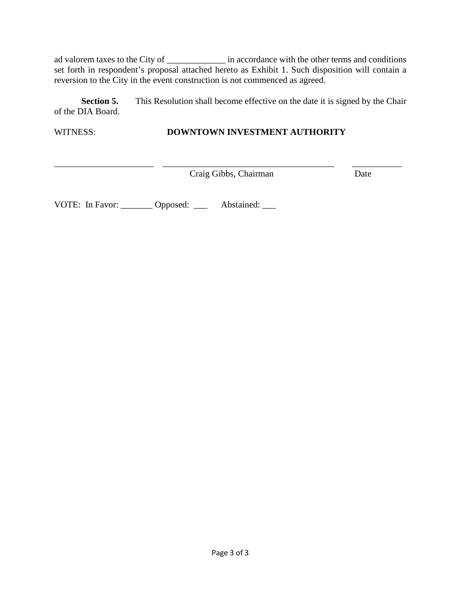ad valorem taxes to the City of \_\_\_\_\_\_\_\_\_\_\_\_\_ in accordance with the other terms and conditions set forth in respondent's proposal attached hereto as Exhibit 1. Such disposition will contain a reversion to the City in the event construction is not commenced as agreed.

**Section 5.** This Resolution shall become effective on the date it is signed by the Chair of the DIA Board.

WITNESS: **DOWNTOWN INVESTMENT AUTHORITY** 

\_\_\_\_\_\_\_\_\_\_\_\_\_\_\_\_\_\_\_\_\_\_ \_\_\_\_\_\_\_\_\_\_\_\_\_\_\_\_\_\_\_\_\_\_\_\_\_\_\_\_\_\_\_\_\_\_\_\_\_\_ \_\_\_\_\_\_\_\_\_\_\_ Craig Gibbs, Chairman Date

VOTE: In Favor: \_\_\_\_\_\_\_\_ Opposed: \_\_\_\_ Abstained: \_\_\_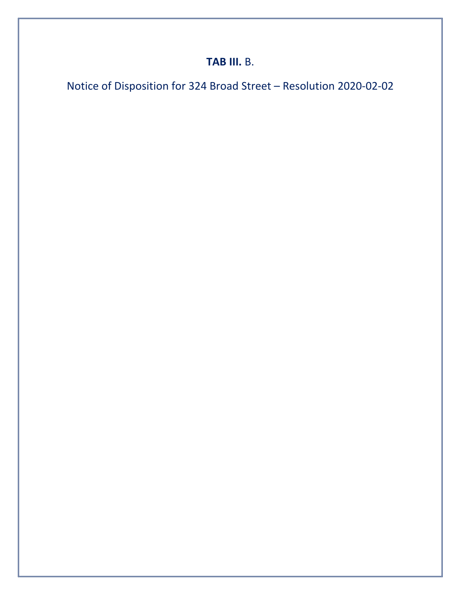# **TAB III.** B.

Notice of Disposition for 324 Broad Street – Resolution 2020-02-02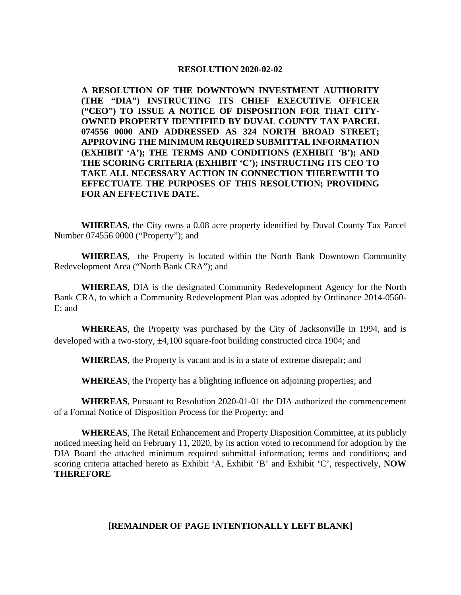### **RESOLUTION 2020-02-02**

**A RESOLUTION OF THE DOWNTOWN INVESTMENT AUTHORITY (THE "DIA") INSTRUCTING ITS CHIEF EXECUTIVE OFFICER ("CEO") TO ISSUE A NOTICE OF DISPOSITION FOR THAT CITY-OWNED PROPERTY IDENTIFIED BY DUVAL COUNTY TAX PARCEL [074556 0000](https://paopropertysearch.coj.net/Basic/Detail.aspx?RE=0745560000) AND ADDRESSED AS 324 NORTH BROAD STREET; APPROVING THE MINIMUM REQUIRED SUBMITTAL INFORMATION (EXHIBIT 'A'); THE TERMS AND CONDITIONS (EXHIBIT 'B'); AND THE SCORING CRITERIA (EXHIBIT 'C'); INSTRUCTING ITS CEO TO TAKE ALL NECESSARY ACTION IN CONNECTION THEREWITH TO EFFECTUATE THE PURPOSES OF THIS RESOLUTION; PROVIDING FOR AN EFFECTIVE DATE.** 

**WHEREAS**, the City owns a 0.08 acre property identified by Duval County Tax Parcel Number 074556 0000 ("Property"); and

**WHEREAS**, the Property is located within the North Bank Downtown Community Redevelopment Area ("North Bank CRA"); and

**WHEREAS**, DIA is the designated Community Redevelopment Agency for the North Bank CRA, to which a Community Redevelopment Plan was adopted by Ordinance 2014-0560- E; and

**WHEREAS**, the Property was purchased by the City of Jacksonville in 1994, and is developed with a two-story,  $\pm 4,100$  square-foot building constructed circa 1904; and

**WHEREAS**, the Property is vacant and is in a state of extreme disrepair; and

**WHEREAS**, the Property has a blighting influence on adjoining properties; and

**WHEREAS**, Pursuant to Resolution 2020-01-01 the DIA authorized the commencement of a Formal Notice of Disposition Process for the Property; and

**WHEREAS**, The Retail Enhancement and Property Disposition Committee, at its publicly noticed meeting held on February 11, 2020, by its action voted to recommend for adoption by the DIA Board the attached minimum required submittal information; terms and conditions; and scoring criteria attached hereto as Exhibit 'A, Exhibit 'B' and Exhibit 'C', respectively, **NOW THEREFORE**

### **[REMAINDER OF PAGE INTENTIONALLY LEFT BLANK]**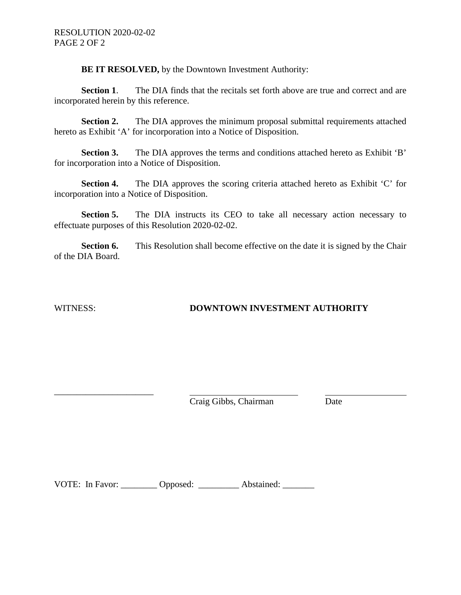**BE IT RESOLVED,** by the Downtown Investment Authority:

**Section 1.** The DIA finds that the recitals set forth above are true and correct and are incorporated herein by this reference.

**Section 2.** The DIA approves the minimum proposal submittal requirements attached hereto as Exhibit 'A' for incorporation into a Notice of Disposition.

**Section 3.** The DIA approves the terms and conditions attached hereto as Exhibit 'B' for incorporation into a Notice of Disposition.

**Section 4.** The DIA approves the scoring criteria attached hereto as Exhibit 'C' for incorporation into a Notice of Disposition.

**Section 5.** The DIA instructs its CEO to take all necessary action necessary to effectuate purposes of this Resolution 2020-02-02.

**Section 6.** This Resolution shall become effective on the date it is signed by the Chair of the DIA Board.

\_\_\_\_\_\_\_\_\_\_\_\_\_\_\_\_\_\_\_\_\_\_

# WITNESS: **DOWNTOWN INVESTMENT AUTHORITY**

Craig Gibbs, Chairman Date

VOTE: In Favor: \_\_\_\_\_\_\_\_ Opposed: \_\_\_\_\_\_\_\_ Abstained: \_\_\_\_\_\_\_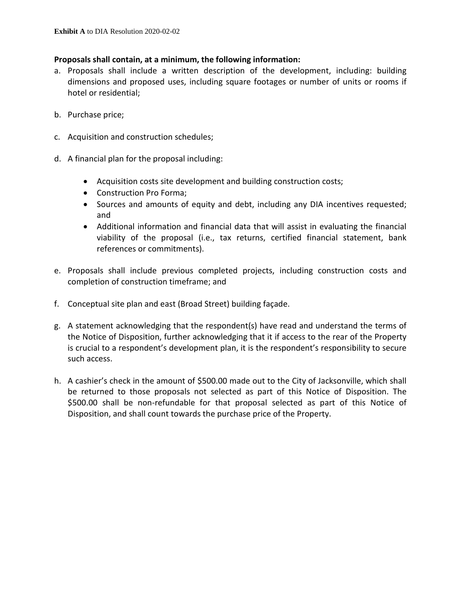## **Proposals shall contain, at a minimum, the following information:**

- a. Proposals shall include a written description of the development, including: building dimensions and proposed uses, including square footages or number of units or rooms if hotel or residential;
- b. Purchase price;
- c. Acquisition and construction schedules;
- d. A financial plan for the proposal including:
	- Acquisition costs site development and building construction costs;
	- Construction Pro Forma;
	- Sources and amounts of equity and debt, including any DIA incentives requested; and
	- Additional information and financial data that will assist in evaluating the financial viability of the proposal (i.e., tax returns, certified financial statement, bank references or commitments).
- e. Proposals shall include previous completed projects, including construction costs and completion of construction timeframe; and
- f. Conceptual site plan and east (Broad Street) building façade.
- g. A statement acknowledging that the respondent(s) have read and understand the terms of the Notice of Disposition, further acknowledging that it if access to the rear of the Property is crucial to a respondent's development plan, it is the respondent's responsibility to secure such access.
- h. A cashier's check in the amount of \$500.00 made out to the City of Jacksonville, which shall be returned to those proposals not selected as part of this Notice of Disposition. The \$500.00 shall be non-refundable for that proposal selected as part of this Notice of Disposition, and shall count towards the purchase price of the Property.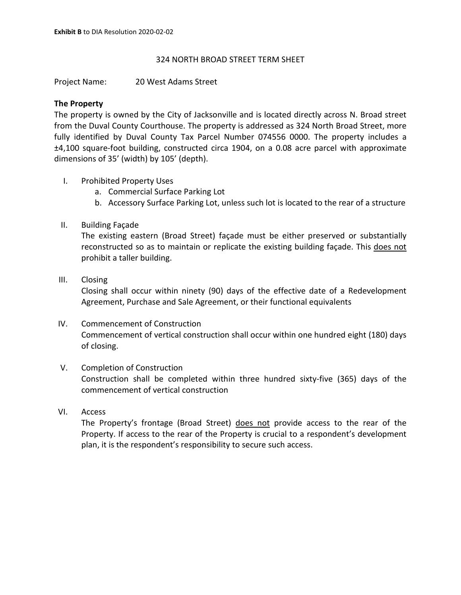## 324 NORTH BROAD STREET TERM SHEET

Project Name: 20 West Adams Street

## **The Property**

The property is owned by the City of Jacksonville and is located directly across N. Broad street from the Duval County Courthouse. The property is addressed as 324 North Broad Street, more fully identified by Duval County Tax Parcel Number 074556 0000. The property includes a ±4,100 square-foot building, constructed circa 1904, on a 0.08 acre parcel with approximate dimensions of 35' (width) by 105' (depth).

- I. Prohibited Property Uses
	- a. Commercial Surface Parking Lot
	- b. Accessory Surface Parking Lot, unless such lot is located to the rear of a structure
- II. Building Façade

The existing eastern (Broad Street) façade must be either preserved or substantially reconstructed so as to maintain or replicate the existing building façade. This does not prohibit a taller building.

III. Closing

Closing shall occur within ninety (90) days of the effective date of a Redevelopment Agreement, Purchase and Sale Agreement, or their functional equivalents

# IV. Commencement of Construction Commencement of vertical construction shall occur within one hundred eight (180) days of closing.

# V. Completion of Construction Construction shall be completed within three hundred sixty-five (365) days of the commencement of vertical construction

VI. Access

The Property's frontage (Broad Street) does not provide access to the rear of the Property. If access to the rear of the Property is crucial to a respondent's development plan, it is the respondent's responsibility to secure such access.